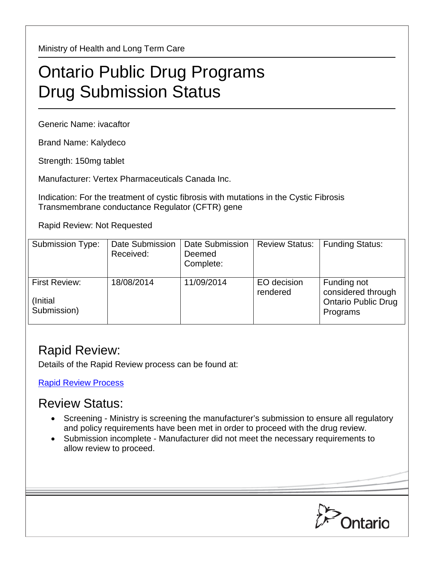Ministry of Health and Long Term Care

## Ontario Public Drug Programs Drug Submission Status

Generic Name: ivacaftor

Brand Name: Kalydeco

Strength: 150mg tablet

Manufacturer: Vertex Pharmaceuticals Canada Inc.

Indication: For the treatment of cystic fibrosis with mutations in the Cystic Fibrosis Transmembrane conductance Regulator (CFTR) gene

Rapid Review: Not Requested

| <b>Submission Type:</b>                          | Date Submission<br>Received: | <b>Date Submission</b><br>Deemed<br>Complete: | <b>Review Status:</b>   | <b>Funding Status:</b>                                                      |
|--------------------------------------------------|------------------------------|-----------------------------------------------|-------------------------|-----------------------------------------------------------------------------|
| <b>First Review:</b><br>(Initial)<br>Submission) | 18/08/2014                   | 11/09/2014                                    | EO decision<br>rendered | Funding not<br>considered through<br><b>Ontario Public Drug</b><br>Programs |

## Rapid Review:

Details of the Rapid Review process can be found at:

[Rapid Review Process](http://www.health.gov.on.ca/en/pro/programs/drugs/drug_submissions/rapid_review_process.aspx)

## Review Status:

- Screening Ministry is screening the manufacturer's submission to ensure all regulatory and policy requirements have been met in order to proceed with the drug review.
- Submission incomplete Manufacturer did not meet the necessary requirements to allow review to proceed.